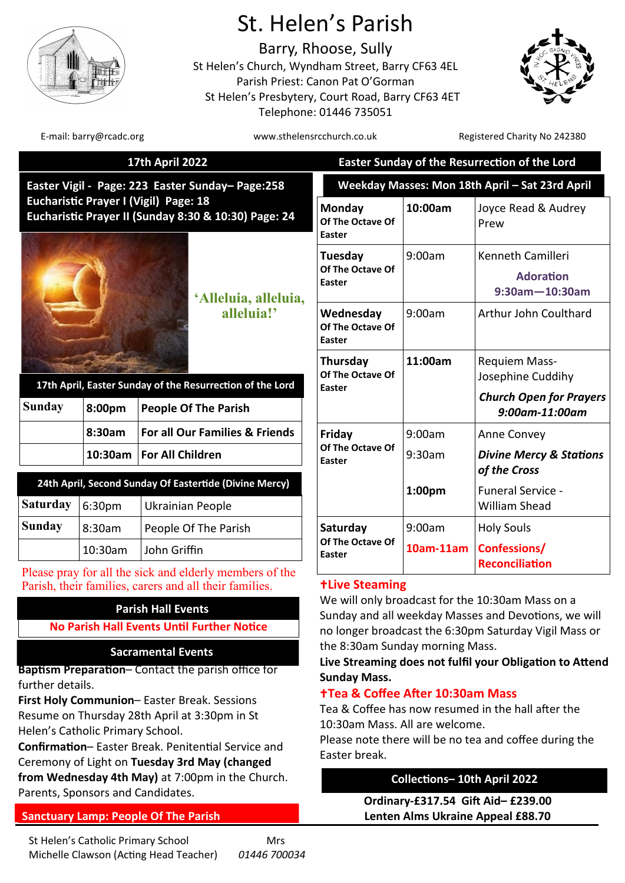

# St. Helen's Parish

Barry, Rhoose, Sully St Helen's Church, Wyndham Street, Barry CF63 4EL Parish Priest: Canon Pat O'Gorman St Helen's Presbytery, Court Road, Barry CF63 4ET Telephone: 01446 735051



E-mail: barry@rcadc.org www.sthelensrcchurch.co.uk Registered Charity No 242380

|                                                                                                         |            | <b>17th April 2022</b>                                                                                            |                                                                                                                                                                                                                                                                  | Easter Sunday of the Resurrection of the Lord |                                                                |  |
|---------------------------------------------------------------------------------------------------------|------------|-------------------------------------------------------------------------------------------------------------------|------------------------------------------------------------------------------------------------------------------------------------------------------------------------------------------------------------------------------------------------------------------|-----------------------------------------------|----------------------------------------------------------------|--|
|                                                                                                         |            | Easter Vigil - Page: 223 Easter Sunday-Page:258                                                                   | Weekday Masses: Mon 18th April - Sat 23rd April                                                                                                                                                                                                                  |                                               |                                                                |  |
| Eucharistic Prayer I (Vigil) Page: 18<br>Eucharistic Prayer II (Sunday 8:30 & 10:30) Page: 24           |            |                                                                                                                   | Monday<br>Of The Octave Of<br>Easter                                                                                                                                                                                                                             | 10:00am                                       | Joyce Read & Audrey<br>Prew                                    |  |
| 'Alleluia, alleluia,                                                                                    |            |                                                                                                                   | Tuesday<br>Of The Octave Of<br><b>Easter</b>                                                                                                                                                                                                                     | 9:00am                                        | Kenneth Camilleri<br><b>Adoration</b><br>$9:30$ am $-10:30$ am |  |
|                                                                                                         | alleluia!' |                                                                                                                   | Wednesday<br>Of The Octave Of<br>Easter                                                                                                                                                                                                                          | 9:00am                                        | Arthur John Coulthard                                          |  |
|                                                                                                         |            | 17th April, Easter Sunday of the Resurrection of the Lord                                                         | Thursday<br>Of The Octave Of<br><b>Easter</b>                                                                                                                                                                                                                    | 11:00am                                       | Requiem Mass-<br>Josephine Cuddihy                             |  |
| <b>Sunday</b>                                                                                           | 8:00pm     | <b>People Of The Parish</b>                                                                                       |                                                                                                                                                                                                                                                                  |                                               | <b>Church Open for Prayers</b><br>9:00am-11:00am               |  |
|                                                                                                         | 8:30am     | For all Our Families & Friends                                                                                    | Friday<br>Of The Octave Of<br><b>Easter</b>                                                                                                                                                                                                                      | 9:00am                                        | Anne Convey                                                    |  |
|                                                                                                         | 10:30am    | <b>For All Children</b>                                                                                           |                                                                                                                                                                                                                                                                  | 9:30am                                        | <b>Divine Mercy &amp; Stations</b><br>of the Cross             |  |
| 24th April, Second Sunday Of Eastertide (Divine Mercy)<br><b>Saturday</b><br>6:30pm<br>Ukrainian People |            |                                                                                                                   |                                                                                                                                                                                                                                                                  | 1:00 <sub>pm</sub>                            | Funeral Service -<br><b>William Shead</b>                      |  |
| <b>Sunday</b>                                                                                           | 8:30am     | People Of The Parish                                                                                              | Saturday<br>Of The Octave Of<br>Easter                                                                                                                                                                                                                           | 9:00am                                        | <b>Holy Souls</b>                                              |  |
|                                                                                                         | 10:30am    | John Griffin                                                                                                      |                                                                                                                                                                                                                                                                  | 10am-11am                                     | Confessions/<br><b>Reconciliation</b>                          |  |
|                                                                                                         |            | Please pray for all the sick and elderly members of the<br>Parish, their families, carers and all their families. | <b>+Live Steaming</b>                                                                                                                                                                                                                                            |                                               |                                                                |  |
|                                                                                                         |            | <b>Parish Hall Events</b><br>No Parish Hall Events Until Further Notice                                           | We will only broadcast for the 10:30am Mass on a<br>Sunday and all weekday Masses and Devotions, we will<br>no longer broadcast the 6:30pm Saturday Vigil Mass or<br>the 8:30am Sunday morning Mass.<br>Live Streaming does not fulfil your Obligation to Attend |                                               |                                                                |  |
|                                                                                                         |            | <b>Sacramental Events</b>                                                                                         |                                                                                                                                                                                                                                                                  |                                               |                                                                |  |

**Sunday Mass.**

Easter break.

**Baptism Preparation**– Contact the parish office for further details.

**First Holy Communion**– Easter Break. Sessions Resume on Thursday 28th April at 3:30pm in St Helen's Catholic Primary School.

**Confirmation**– Easter Break. Penitential Service and Ceremony of Light on **Tuesday 3rd May (changed from Wednesday 4th May)** at 7:00pm in the Church. Parents, Sponsors and Candidates. **Ordinary-£317.54 Gift Aid– £239.00**

# **Sanctuary Lamp: People Of The Parish**

# **Collections– 10th April 2022**

**Lenten Alms Ukraine Appeal £88.70**

Tea & Coffee has now resumed in the hall after the

Please note there will be no tea and coffee during the

**Tea & Coffee After 10:30am Mass**

10:30am Mass. All are welcome.